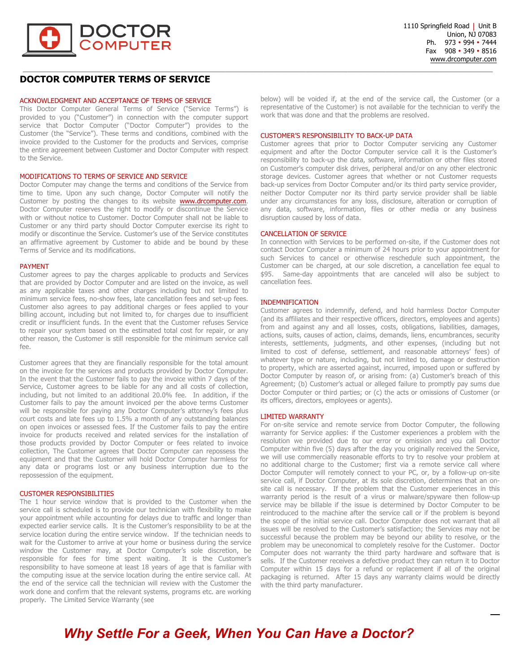

### **DOCTOR COMPUTER TERMS OF SERVICE**

#### ACKNOWLEDGMENT AND ACCEPTANCE OF TERMS OF SERVICE

This Doctor Computer General Terms of Service ("Service Terms") is provided to you ("Customer") in connection with the computer support service that Doctor Computer ("Doctor Computer") provides to the Customer (the "Service"). These terms and conditions, combined with the invoice provided to the Customer for the products and Services, comprise the entire agreement between Customer and Doctor Computer with respect to the Service.

#### MODIFICATIONS TO TERMS OF SERVICE AND SERVICE

Doctor Computer may change the terms and conditions of the Service from time to time. Upon any such change, Doctor Computer will notify the Customer by posting the changes to its website **www.drcomputer.com**. Doctor Computer reserves the right to modify or discontinue the Service with or without notice to Customer. Doctor Computer shall not be liable to Customer or any third party should Doctor Computer exercise its right to modify or discontinue the Service. Customer's use of the Service constitutes an affirmative agreement by Customer to abide and be bound by these Terms of Service and its modifications.

#### PAYMENT

Customer agrees to pay the charges applicable to products and Services that are provided by Doctor Computer and are listed on the invoice, as well as any applicable taxes and other charges including but not limited to minimum service fees, no-show fees, late cancellation fees and set-up fees. Customer also agrees to pay additional charges or fees applied to your billing account, including but not limited to, for charges due to insufficient credit or insufficient funds. In the event that the Customer refuses Service to repair your system based on the estimated total cost for repair, or any other reason, the Customer is still responsible for the minimum service call fee.

Customer agrees that they are financially responsible for the total amount on the invoice for the services and products provided by Doctor Computer. In the event that the Customer fails to pay the invoice within 7 days of the Service, Customer agrees to be liable for any and all costs of collection, including, but not limited to an additional 20.0% fee. In addition, if the Customer fails to pay the amount invoiced per the above terms Customer will be responsible for paying any Doctor Computer's attorney's fees plus court costs and late fees up to 1.5% a month of any outstanding balances on open invoices or assessed fees. If the Customer fails to pay the entire invoice for products received and related services for the installation of those products provided by Doctor Computer or fees related to invoice collection, The Customer agrees that Doctor Computer can repossess the equipment and that the Customer will hold Doctor Computer harmless for any data or programs lost or any business interruption due to the repossession of the equipment.

#### CUSTOMER RESPONSIBILITIES

The 1 hour service window that is provided to the Customer when the service call is scheduled is to provide our technician with flexibility to make your appointment while accounting for delays due to traffic and longer than expected earlier service calls. It is the Customer's responsibility to be at the service location during the entire service window. If the technician needs to wait for the Customer to arrive at your home or business during the service window the Customer may, at Doctor Computer's sole discretion, be responsible for fees for time spent waiting. It is the Customer's responsibility to have someone at least 18 years of age that is familiar with the computing issue at the service location during the entire service call. At the end of the service call the technician will review with the Customer the work done and confirm that the relevant systems, programs etc. are working properly. The Limited Service Warranty (see

below) will be voided if, at the end of the service call, the Customer (or a representative of the Customer) is not available for the technician to verify the work that was done and that the problems are resolved.

#### CUSTOMER'S RESPONSIBILITY TO BACK-UP DATA

Customer agrees that prior to Doctor Computer servicing any Customer equipment and after the Doctor Computer service call it is the Customer's responsibility to back-up the data, software, information or other files stored on Customer's computer disk drives, peripheral and/or on any other electronic storage devices. Customer agrees that whether or not Customer requests back-up services from Doctor Computer and/or its third party service provider, neither Doctor Computer nor its third party service provider shall be liable under any circumstances for any loss, disclosure, alteration or corruption of any data, software, information, files or other media or any business disruption caused by loss of data.

#### CANCELLATION OF SERVICE

In connection with Services to be performed on-site, if the Customer does not contact Doctor Computer a minimum of 24 hours prior to your appointment for such Services to cancel or otherwise reschedule such appointment, the Customer can be charged, at our sole discretion, a cancellation fee equal to \$95. Same-day appointments that are canceled will also be subject to cancellation fees.

#### INDEMNIFICATION

Customer agrees to indemnify, defend, and hold harmless Doctor Computer (and its affiliates and their respective officers, directors, employees and agents) from and against any and all losses, costs, obligations, liabilities, damages, actions, suits, causes of action, claims, demands, liens, encumbrances, security interests, settlements, judgments, and other expenses, (including but not limited to cost of defense, settlement, and reasonable attorneys' fees) of whatever type or nature, including, but not limited to, damage or destruction to property, which are asserted against, incurred, imposed upon or suffered by Doctor Computer by reason of, or arising from: (a) Customer's breach of this Agreement; (b) Customer's actual or alleged failure to promptly pay sums due Doctor Computer or third parties; or (c) the acts or omissions of Customer (or its officers, directors, employees or agents).

#### LIMITED WARRANTY

For on-site service and remote service from Doctor Computer, the following warranty for Service applies: if the Customer experiences a problem with the resolution we provided due to our error or omission and you call Doctor Computer within five (5) days after the day you originally received the Service, we will use commercially reasonable efforts to try to resolve your problem at no additional charge to the Customer; first via a remote service call where Doctor Computer will remotely connect to your PC, or, by a follow-up on-site service call, if Doctor Computer, at its sole discretion, determines that an onsite call is necessary. If the problem that the Customer experiences in this warranty period is the result of a virus or malware/spyware then follow-up service may be billable if the issue is determined by Doctor Computer to be reintroduced to the machine after the service call or if the problem is beyond the scope of the initial service call. Doctor Computer does not warrant that all issues will be resolved to the Customer's satisfaction; the Services may not be successful because the problem may be beyond our ability to resolve, or the problem may be uneconomical to completely resolve for the Customer. Doctor Computer does not warranty the third party hardware and software that is sells. If the Customer receives a defective product they can return it to Doctor Computer within 15 days for a refund or replacement if all of the original packaging is returned. After 15 days any warranty claims would be directly with the third party manufacturer.

# *Why Settle For a Geek, When You Can Have a Doctor?*